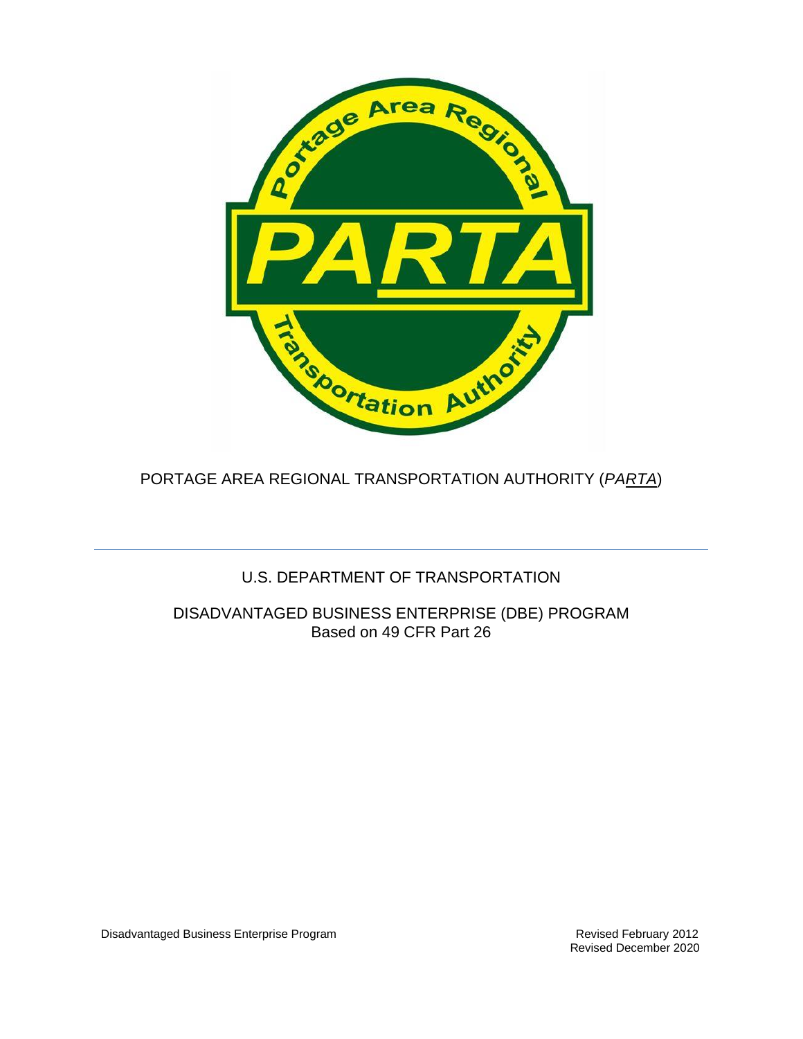

PORTAGE AREA REGIONAL TRANSPORTATION AUTHORITY (*PARTA*)

# U.S. DEPARTMENT OF TRANSPORTATION

DISADVANTAGED BUSINESS ENTERPRISE (DBE) PROGRAM Based on 49 CFR Part 26

Disadvantaged Business Enterprise Program **Revised February 2012** Revised February 2012

Revised December 2020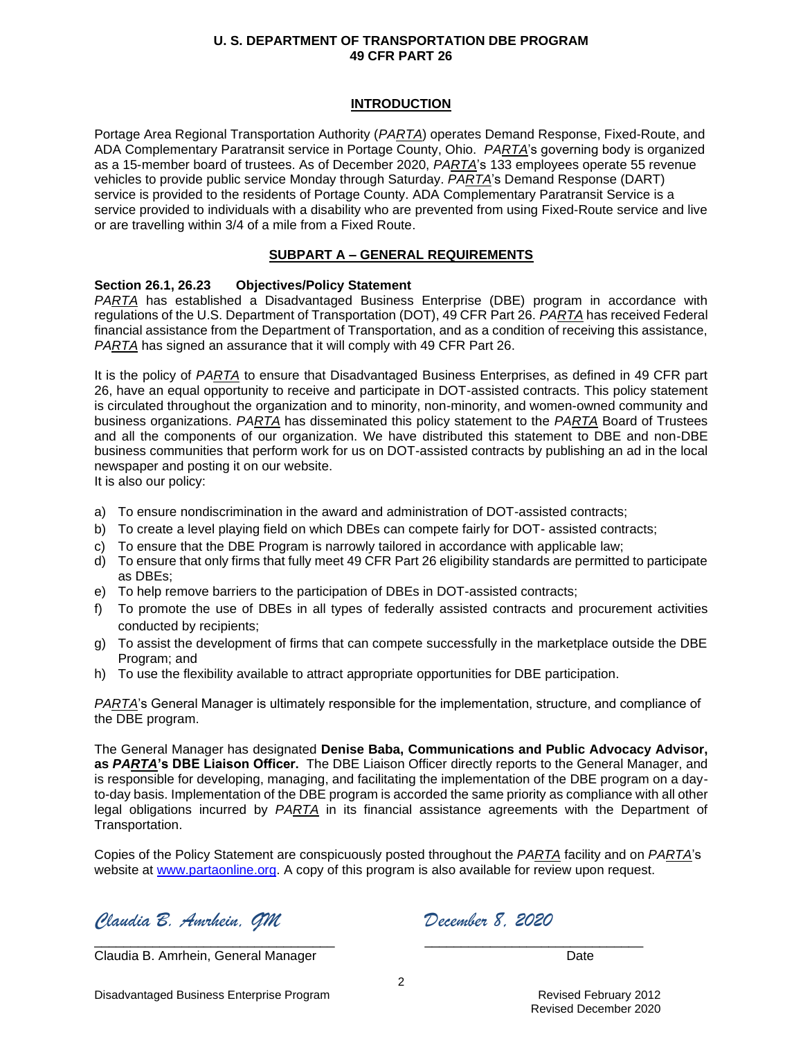### **INTRODUCTION**

Portage Area Regional Transportation Authority (*PARTA*) operates Demand Response, Fixed-Route, and ADA Complementary Paratransit service in Portage County, Ohio. *PARTA*'s governing body is organized as a 15-member board of trustees. As of December 2020, *PARTA*'s 133 employees operate 55 revenue vehicles to provide public service Monday through Saturday. *PARTA*'s Demand Response (DART) service is provided to the residents of Portage County. ADA Complementary Paratransit Service is a service provided to individuals with a disability who are prevented from using Fixed-Route service and live or are travelling within 3/4 of a mile from a Fixed Route.

## **SUBPART A – GENERAL REQUIREMENTS**

## **Section 26.1, 26.23 Objectives/Policy Statement**

*PARTA* has established a Disadvantaged Business Enterprise (DBE) program in accordance with regulations of the U.S. Department of Transportation (DOT), 49 CFR Part 26. *PARTA* has received Federal financial assistance from the Department of Transportation, and as a condition of receiving this assistance, *PARTA* has signed an assurance that it will comply with 49 CFR Part 26.

It is the policy of *PARTA* to ensure that Disadvantaged Business Enterprises, as defined in 49 CFR part 26, have an equal opportunity to receive and participate in DOT-assisted contracts. This policy statement is circulated throughout the organization and to minority, non-minority, and women-owned community and business organizations. *PARTA* has disseminated this policy statement to the *PARTA* Board of Trustees and all the components of our organization. We have distributed this statement to DBE and non-DBE business communities that perform work for us on DOT-assisted contracts by publishing an ad in the local newspaper and posting it on our website.

It is also our policy:

- a) To ensure nondiscrimination in the award and administration of DOT-assisted contracts;
- b) To create a level playing field on which DBEs can compete fairly for DOT- assisted contracts;
- c) To ensure that the DBE Program is narrowly tailored in accordance with applicable law;
- d) To ensure that only firms that fully meet 49 CFR Part 26 eligibility standards are permitted to participate as DBEs;
- e) To help remove barriers to the participation of DBEs in DOT-assisted contracts;
- f) To promote the use of DBEs in all types of federally assisted contracts and procurement activities conducted by recipients;
- g) To assist the development of firms that can compete successfully in the marketplace outside the DBE Program; and
- h) To use the flexibility available to attract appropriate opportunities for DBE participation.

*PARTA*'s General Manager is ultimately responsible for the implementation, structure, and compliance of the DBE program.

The General Manager has designated **Denise Baba, Communications and Public Advocacy Advisor, as** *PARTA***'s DBE Liaison Officer.** The DBE Liaison Officer directly reports to the General Manager, and is responsible for developing, managing, and facilitating the implementation of the DBE program on a dayto-day basis. Implementation of the DBE program is accorded the same priority as compliance with all other legal obligations incurred by *PARTA* in its financial assistance agreements with the Department of Transportation.

Copies of the Policy Statement are conspicuously posted throughout the *PARTA* facility and on *PARTA*'s website at [www.partaonline.org.](http://www.partaonline.org/) A copy of this program is also available for review upon request.

*Claudia B. Amrhein, GM December 8, 2020*

Claudia B. Amrhein, General Manager **Date Claudia B. Amrhein, General Manager** Date

\_\_\_\_\_\_\_\_\_\_\_\_\_\_\_\_\_\_\_\_\_\_\_\_\_\_\_\_\_\_\_\_\_ \_\_\_\_\_\_\_\_\_\_\_\_\_\_\_\_\_\_\_\_\_\_\_\_\_\_\_\_\_\_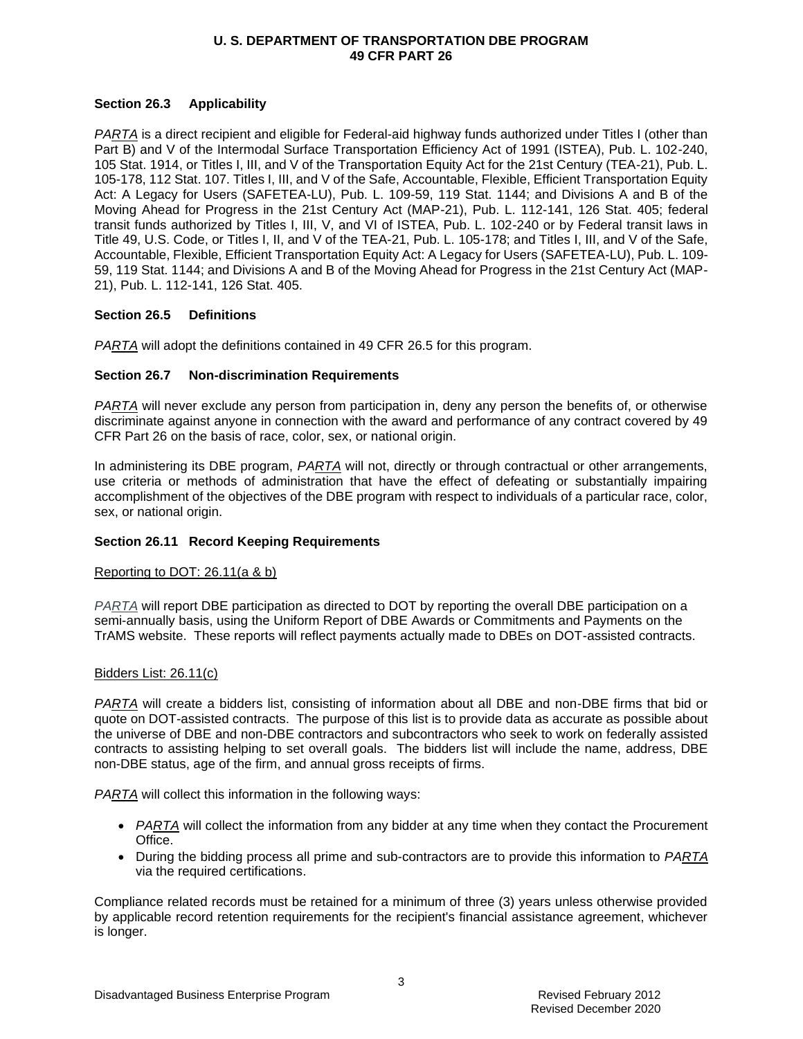## **Section 26.3 Applicability**

*PARTA* is a direct recipient and eligible for Federal-aid highway funds authorized under Titles I (other than Part B) and V of the Intermodal Surface Transportation Efficiency Act of 1991 (ISTEA), Pub. L. 102-240, 105 Stat. 1914, or Titles I, III, and V of the Transportation Equity Act for the 21st Century (TEA-21), Pub. L. 105-178, 112 Stat. 107. Titles I, III, and V of the Safe, Accountable, Flexible, Efficient Transportation Equity Act: A Legacy for Users (SAFETEA-LU), Pub. L. 109-59, 119 Stat. 1144; and Divisions A and B of the Moving Ahead for Progress in the 21st Century Act (MAP-21), Pub. L. 112-141, 126 Stat. 405; federal transit funds authorized by Titles I, III, V, and VI of ISTEA, Pub. L. 102-240 or by Federal transit laws in Title 49, U.S. Code, or Titles I, II, and V of the TEA-21, Pub. L. 105-178; and Titles I, III, and V of the Safe, Accountable, Flexible, Efficient Transportation Equity Act: A Legacy for Users (SAFETEA-LU), Pub. L. 109- 59, 119 Stat. 1144; and Divisions A and B of the Moving Ahead for Progress in the 21st Century Act (MAP-21), Pub. L. 112-141, 126 Stat. 405.

## **Section 26.5 Definitions**

*PARTA* will adopt the definitions contained in 49 CFR 26.5 for this program.

## **Section 26.7 Non-discrimination Requirements**

*PARTA* will never exclude any person from participation in, deny any person the benefits of, or otherwise discriminate against anyone in connection with the award and performance of any contract covered by 49 CFR Part 26 on the basis of race, color, sex, or national origin.

In administering its DBE program, *PARTA* will not, directly or through contractual or other arrangements, use criteria or methods of administration that have the effect of defeating or substantially impairing accomplishment of the objectives of the DBE program with respect to individuals of a particular race, color, sex, or national origin.

### **Section 26.11 Record Keeping Requirements**

### Reporting to DOT: 26.11(a & b)

*PARTA* will report DBE participation as directed to DOT by reporting the overall DBE participation on a semi-annually basis, using the Uniform Report of DBE Awards or Commitments and Payments on the TrAMS website. These reports will reflect payments actually made to DBEs on DOT-assisted contracts.

### Bidders List: 26.11(c)

*PARTA* will create a bidders list, consisting of information about all DBE and non-DBE firms that bid or quote on DOT-assisted contracts. The purpose of this list is to provide data as accurate as possible about the universe of DBE and non-DBE contractors and subcontractors who seek to work on federally assisted contracts to assisting helping to set overall goals. The bidders list will include the name, address, DBE non-DBE status, age of the firm, and annual gross receipts of firms.

*PARTA* will collect this information in the following ways:

- *PARTA* will collect the information from any bidder at any time when they contact the Procurement Office.
- During the bidding process all prime and sub-contractors are to provide this information to *PARTA* via the required certifications.

Compliance related records must be retained for a minimum of three (3) years unless otherwise provided by applicable record retention requirements for the recipient's financial assistance agreement, whichever is longer.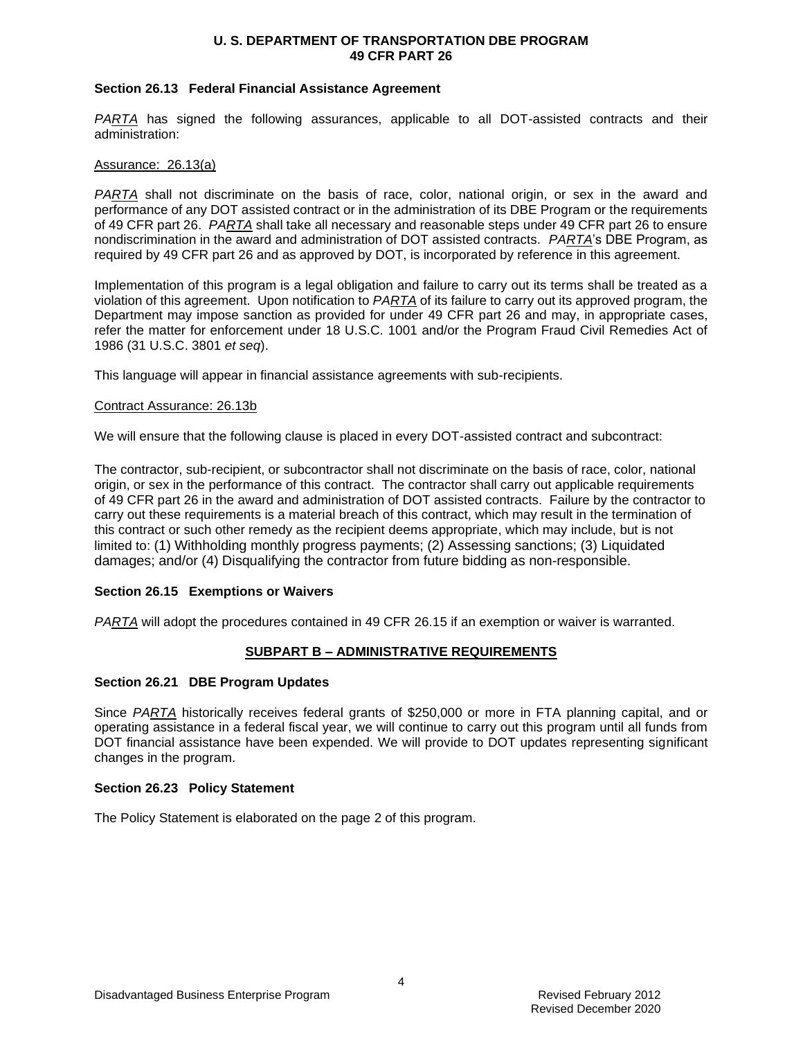#### **Section 26.13 Federal Financial Assistance Agreement**

*PARTA* has signed the following assurances, applicable to all DOT-assisted contracts and their administration:

#### Assurance: 26.13(a)

*PARTA* shall not discriminate on the basis of race, color, national origin, or sex in the award and performance of any DOT assisted contract or in the administration of its DBE Program or the requirements of 49 CFR part 26. *PARTA* shall take all necessary and reasonable steps under 49 CFR part 26 to ensure nondiscrimination in the award and administration of DOT assisted contracts. *PARTA*'s DBE Program, as required by 49 CFR part 26 and as approved by DOT, is incorporated by reference in this agreement.

Implementation of this program is a legal obligation and failure to carry out its terms shall be treated as a violation of this agreement. Upon notification to *PARTA* of its failure to carry out its approved program, the Department may impose sanction as provided for under 49 CFR part 26 and may, in appropriate cases, refer the matter for enforcement under 18 U.S.C. 1001 and/or the Program Fraud Civil Remedies Act of 1986 (31 U.S.C. 3801 *et seq*).

This language will appear in financial assistance agreements with sub-recipients.

#### Contract Assurance: 26.13b

We will ensure that the following clause is placed in every DOT-assisted contract and subcontract:

The contractor, sub-recipient, or subcontractor shall not discriminate on the basis of race, color, national origin, or sex in the performance of this contract. The contractor shall carry out applicable requirements of 49 CFR part 26 in the award and administration of DOT assisted contracts. Failure by the contractor to carry out these requirements is a material breach of this contract, which may result in the termination of this contract or such other remedy as the recipient deems appropriate, which may include, but is not limited to: (1) Withholding monthly progress payments; (2) Assessing sanctions; (3) Liquidated damages; and/or (4) Disqualifying the contractor from future bidding as non-responsible.

### **Section 26.15 Exemptions or Waivers**

*PARTA* will adopt the procedures contained in 49 CFR 26.15 if an exemption or waiver is warranted.

### **SUBPART B – ADMINISTRATIVE REQUIREMENTS**

### **Section 26.21 DBE Program Updates**

Since *PARTA* historically receives federal grants of \$250,000 or more in FTA planning capital, and or operating assistance in a federal fiscal year, we will continue to carry out this program until all funds from DOT financial assistance have been expended. We will provide to DOT updates representing significant changes in the program.

### **Section 26.23 Policy Statement**

The Policy Statement is elaborated on the page 2 of this program.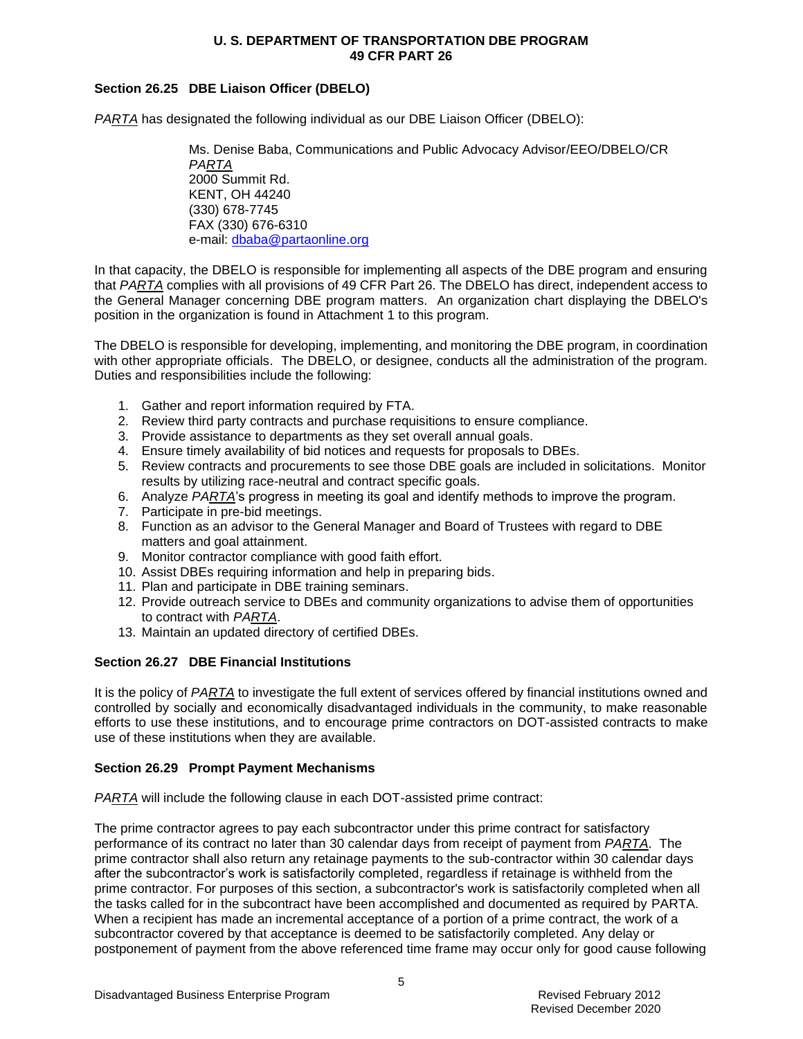## **Section 26.25 DBE Liaison Officer (DBELO)**

*PARTA* has designated the following individual as our DBE Liaison Officer (DBELO):

Ms. Denise Baba, Communications and Public Advocacy Advisor/EEO/DBELO/CR *PARTA* 2000 Summit Rd. KENT, OH 44240 (330) 678-7745 FAX (330) 676-6310 e-mail: [dbaba@partaonline.org](mailto:frank@partaonline.org)

In that capacity, the DBELO is responsible for implementing all aspects of the DBE program and ensuring that *PARTA* complies with all provisions of 49 CFR Part 26. The DBELO has direct, independent access to the General Manager concerning DBE program matters. An organization chart displaying the DBELO's position in the organization is found in Attachment 1 to this program.

The DBELO is responsible for developing, implementing, and monitoring the DBE program, in coordination with other appropriate officials. The DBELO, or designee, conducts all the administration of the program. Duties and responsibilities include the following:

- 1. Gather and report information required by FTA.
- 2. Review third party contracts and purchase requisitions to ensure compliance.
- 3. Provide assistance to departments as they set overall annual goals.
- 4. Ensure timely availability of bid notices and requests for proposals to DBEs.
- 5. Review contracts and procurements to see those DBE goals are included in solicitations. Monitor results by utilizing race-neutral and contract specific goals.
- 6. Analyze *PARTA*'s progress in meeting its goal and identify methods to improve the program.
- 7. Participate in pre-bid meetings.
- 8. Function as an advisor to the General Manager and Board of Trustees with regard to DBE matters and goal attainment.
- 9. Monitor contractor compliance with good faith effort.
- 10. Assist DBEs requiring information and help in preparing bids.
- 11. Plan and participate in DBE training seminars.
- 12. Provide outreach service to DBEs and community organizations to advise them of opportunities to contract with *PARTA*.
- 13. Maintain an updated directory of certified DBEs.

### **Section 26.27 DBE Financial Institutions**

It is the policy of *PARTA* to investigate the full extent of services offered by financial institutions owned and controlled by socially and economically disadvantaged individuals in the community, to make reasonable efforts to use these institutions, and to encourage prime contractors on DOT-assisted contracts to make use of these institutions when they are available.

## **Section 26.29 Prompt Payment Mechanisms**

*PARTA* will include the following clause in each DOT-assisted prime contract:

The prime contractor agrees to pay each subcontractor under this prime contract for satisfactory performance of its contract no later than 30 calendar days from receipt of payment from *PARTA*. The prime contractor shall also return any retainage payments to the sub-contractor within 30 calendar days after the subcontractor's work is satisfactorily completed, regardless if retainage is withheld from the prime contractor. For purposes of this section, a subcontractor's work is satisfactorily completed when all the tasks called for in the subcontract have been accomplished and documented as required by PARTA. When a recipient has made an incremental acceptance of a portion of a prime contract, the work of a subcontractor covered by that acceptance is deemed to be satisfactorily completed. Any delay or postponement of payment from the above referenced time frame may occur only for good cause following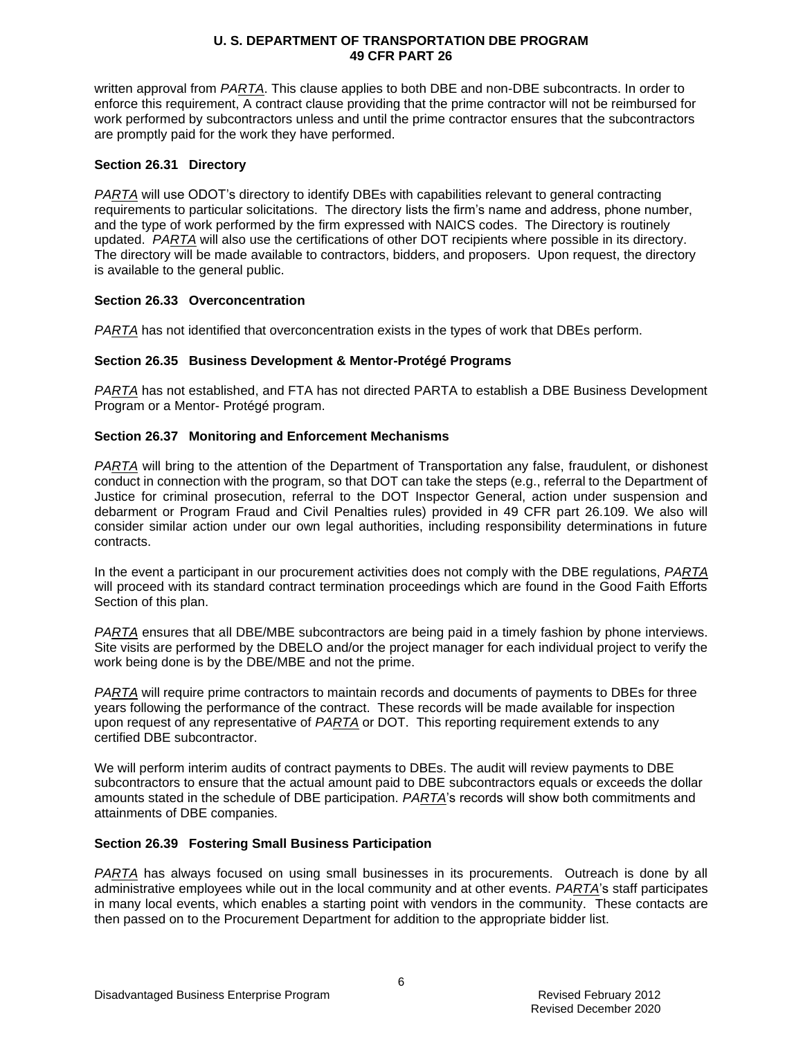written approval from *PARTA*. This clause applies to both DBE and non-DBE subcontracts. In order to enforce this requirement, A contract clause providing that the prime contractor will not be reimbursed for work performed by subcontractors unless and until the prime contractor ensures that the subcontractors are promptly paid for the work they have performed.

## **Section 26.31 Directory**

*PARTA* will use ODOT's directory to identify DBEs with capabilities relevant to general contracting requirements to particular solicitations. The directory lists the firm's name and address, phone number, and the type of work performed by the firm expressed with NAICS codes. The Directory is routinely updated. *PARTA* will also use the certifications of other DOT recipients where possible in its directory. The directory will be made available to contractors, bidders, and proposers. Upon request, the directory is available to the general public.

## **Section 26.33 Overconcentration**

*PARTA* has not identified that overconcentration exists in the types of work that DBEs perform.

## **Section 26.35 Business Development & Mentor-Protégé Programs**

*PARTA* has not established, and FTA has not directed PARTA to establish a DBE Business Development Program or a Mentor- Protégé program.

## **Section 26.37 Monitoring and Enforcement Mechanisms**

*PARTA* will bring to the attention of the Department of Transportation any false, fraudulent, or dishonest conduct in connection with the program, so that DOT can take the steps (e.g., referral to the Department of Justice for criminal prosecution, referral to the DOT Inspector General, action under suspension and debarment or Program Fraud and Civil Penalties rules) provided in 49 CFR part 26.109. We also will consider similar action under our own legal authorities, including responsibility determinations in future contracts.

In the event a participant in our procurement activities does not comply with the DBE regulations, *PARTA* will proceed with its standard contract termination proceedings which are found in the Good Faith Efforts Section of this plan.

*PARTA* ensures that all DBE/MBE subcontractors are being paid in a timely fashion by phone interviews. Site visits are performed by the DBELO and/or the project manager for each individual project to verify the work being done is by the DBE/MBE and not the prime.

*PARTA* will require prime contractors to maintain records and documents of payments to DBEs for three years following the performance of the contract. These records will be made available for inspection upon request of any representative of *PARTA* or DOT. This reporting requirement extends to any certified DBE subcontractor.

We will perform interim audits of contract payments to DBEs. The audit will review payments to DBE subcontractors to ensure that the actual amount paid to DBE subcontractors equals or exceeds the dollar amounts stated in the schedule of DBE participation. *PARTA*'s records will show both commitments and attainments of DBE companies.

### **Section 26.39 Fostering Small Business Participation**

*PARTA* has always focused on using small businesses in its procurements. Outreach is done by all administrative employees while out in the local community and at other events. *PARTA*'s staff participates in many local events, which enables a starting point with vendors in the community. These contacts are then passed on to the Procurement Department for addition to the appropriate bidder list.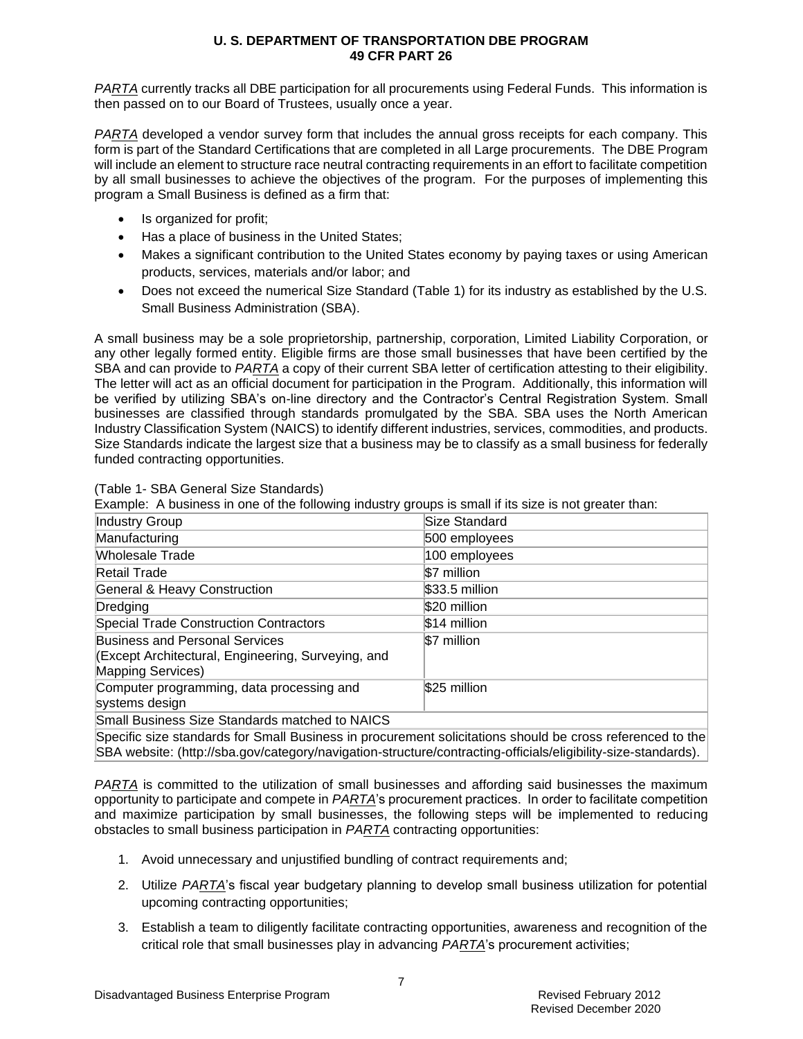*PARTA* currently tracks all DBE participation for all procurements using Federal Funds. This information is then passed on to our Board of Trustees, usually once a year.

*PARTA* developed a vendor survey form that includes the annual gross receipts for each company. This form is part of the Standard Certifications that are completed in all Large procurements. The DBE Program will include an element to structure race neutral contracting requirements in an effort to facilitate competition by all small businesses to achieve the objectives of the program. For the purposes of implementing this program a Small Business is defined as a firm that:

- Is organized for profit;
- Has a place of business in the United States;
- Makes a significant contribution to the United States economy by paying taxes or using American products, services, materials and/or labor; and
- Does not exceed the numerical Size Standard (Table 1) for its industry as established by the U.S. Small Business Administration (SBA).

A small business may be a sole proprietorship, partnership, corporation, Limited Liability Corporation, or any other legally formed entity. Eligible firms are those small businesses that have been certified by the SBA and can provide to *PARTA* a copy of their current SBA letter of certification attesting to their eligibility. The letter will act as an official document for participation in the Program. Additionally, this information will be verified by utilizing SBA's on-line directory and the Contractor's Central Registration System. Small businesses are classified through standards promulgated by the SBA. SBA uses the North American Industry Classification System (NAICS) to identify different industries, services, commodities, and products. Size Standards indicate the largest size that a business may be to classify as a small business for federally funded contracting opportunities.

| Example: A business in one of the following industry groups is small if its size is not greater than:                   |                |
|-------------------------------------------------------------------------------------------------------------------------|----------------|
| <b>Industry Group</b>                                                                                                   | Size Standard  |
| Manufacturing                                                                                                           | 500 employees  |
| Wholesale Trade                                                                                                         | 100 employees  |
| Retail Trade                                                                                                            | \$7 million    |
| <b>General &amp; Heavy Construction</b>                                                                                 | \$33.5 million |
| Dredging                                                                                                                | \$20 million   |
| <b>Special Trade Construction Contractors</b>                                                                           | \$14 million   |
| <b>Business and Personal Services</b><br>(Except Architectural, Engineering, Surveying, and<br><b>Mapping Services)</b> | \$7 million    |
| Computer programming, data processing and<br>systems design                                                             | \$25 million   |
| Small Business Size Standards matched to NAICS                                                                          |                |
| On calling the standards for Onell Directorse in presidence of calleliations should be speed officered to the           |                |

(Table 1- SBA General Size Standards)

Example: A business in one of the following industry groups is small if its size is not greater than:

Specific size standards for Small Business in procurement solicitations should be cross referenced to the SBA website: [\(http://sba.gov/category/navigation-structure/contracting-officials/eligibility-size-standards\)](http://sba.gov/category/navigation-structure/contracting-officials/eligibility-size-standards).

*PARTA* is committed to the utilization of small businesses and affording said businesses the maximum opportunity to participate and compete in *PARTA*'s procurement practices. In order to facilitate competition and maximize participation by small businesses, the following steps will be implemented to reducing obstacles to small business participation in *PARTA* contracting opportunities:

- 1. Avoid unnecessary and unjustified bundling of contract requirements and;
- 2. Utilize *PARTA*'s fiscal year budgetary planning to develop small business utilization for potential upcoming contracting opportunities;
- 3. Establish a team to diligently facilitate contracting opportunities, awareness and recognition of the critical role that small businesses play in advancing *PARTA*'s procurement activities;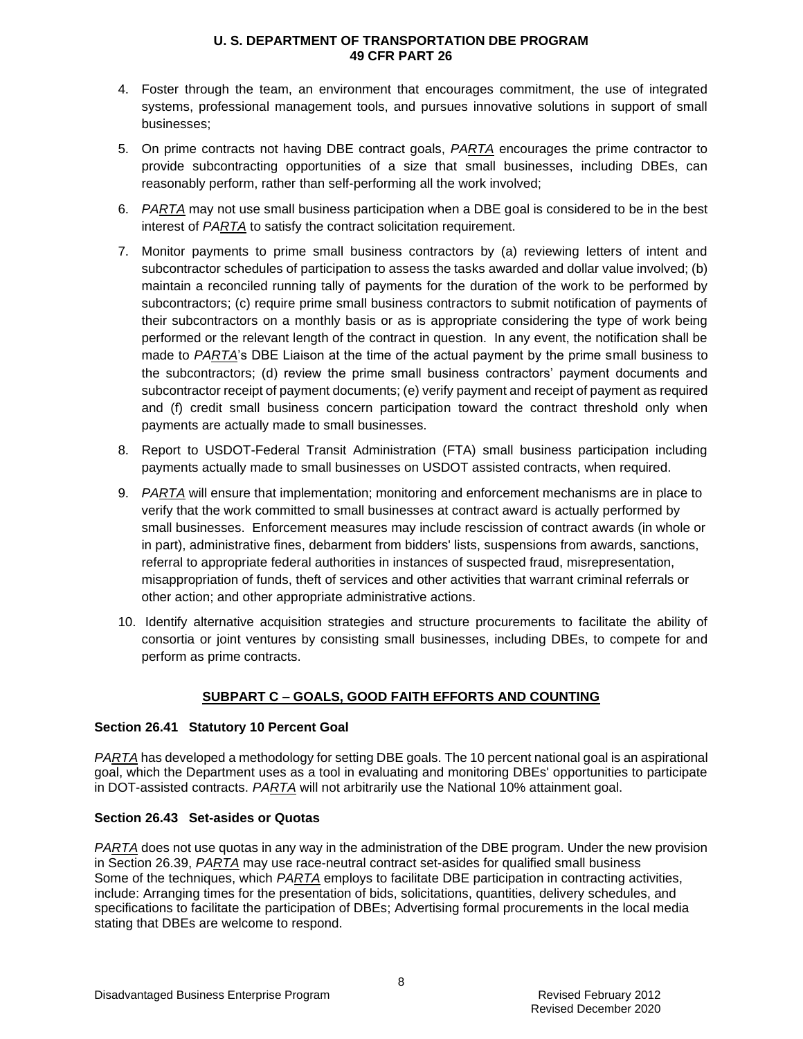- 4. Foster through the team, an environment that encourages commitment, the use of integrated systems, professional management tools, and pursues innovative solutions in support of small businesses;
- 5. On prime contracts not having DBE contract goals, *PARTA* encourages the prime contractor to provide subcontracting opportunities of a size that small businesses, including DBEs, can reasonably perform, rather than self-performing all the work involved;
- 6. *PARTA* may not use small business participation when a DBE goal is considered to be in the best interest of *PARTA* to satisfy the contract solicitation requirement.
- 7. Monitor payments to prime small business contractors by (a) reviewing letters of intent and subcontractor schedules of participation to assess the tasks awarded and dollar value involved; (b) maintain a reconciled running tally of payments for the duration of the work to be performed by subcontractors; (c) require prime small business contractors to submit notification of payments of their subcontractors on a monthly basis or as is appropriate considering the type of work being performed or the relevant length of the contract in question. In any event, the notification shall be made to *PARTA*'s DBE Liaison at the time of the actual payment by the prime small business to the subcontractors; (d) review the prime small business contractors' payment documents and subcontractor receipt of payment documents; (e) verify payment and receipt of payment as required and (f) credit small business concern participation toward the contract threshold only when payments are actually made to small businesses.
- 8. Report to USDOT-Federal Transit Administration (FTA) small business participation including payments actually made to small businesses on USDOT assisted contracts, when required.
- 9. *PARTA* will ensure that implementation; monitoring and enforcement mechanisms are in place to verify that the work committed to small businesses at contract award is actually performed by small businesses. Enforcement measures may include rescission of contract awards (in whole or in part), administrative fines, debarment from bidders' lists, suspensions from awards, sanctions, referral to appropriate federal authorities in instances of suspected fraud, misrepresentation, misappropriation of funds, theft of services and other activities that warrant criminal referrals or other action; and other appropriate administrative actions.
- 10. Identify alternative acquisition strategies and structure procurements to facilitate the ability of consortia or joint ventures by consisting small businesses, including DBEs, to compete for and perform as prime contracts.

## **SUBPART C – GOALS, GOOD FAITH EFFORTS AND COUNTING**

### **Section 26.41 Statutory 10 Percent Goal**

*PARTA* has developed a methodology for setting DBE goals. The 10 percent national goal is an aspirational goal, which the Department uses as a tool in evaluating and monitoring DBEs' opportunities to participate in DOT-assisted contracts. *PARTA* will not arbitrarily use the National 10% attainment goal.

### **Section 26.43 Set-asides or Quotas**

*PARTA* does not use quotas in any way in the administration of the DBE program. Under the new provision in Section 26.39, *PARTA* may use race-neutral contract set-asides for qualified small business Some of the techniques, which *PARTA* employs to facilitate DBE participation in contracting activities, include: Arranging times for the presentation of bids, solicitations, quantities, delivery schedules, and specifications to facilitate the participation of DBEs; Advertising formal procurements in the local media stating that DBEs are welcome to respond.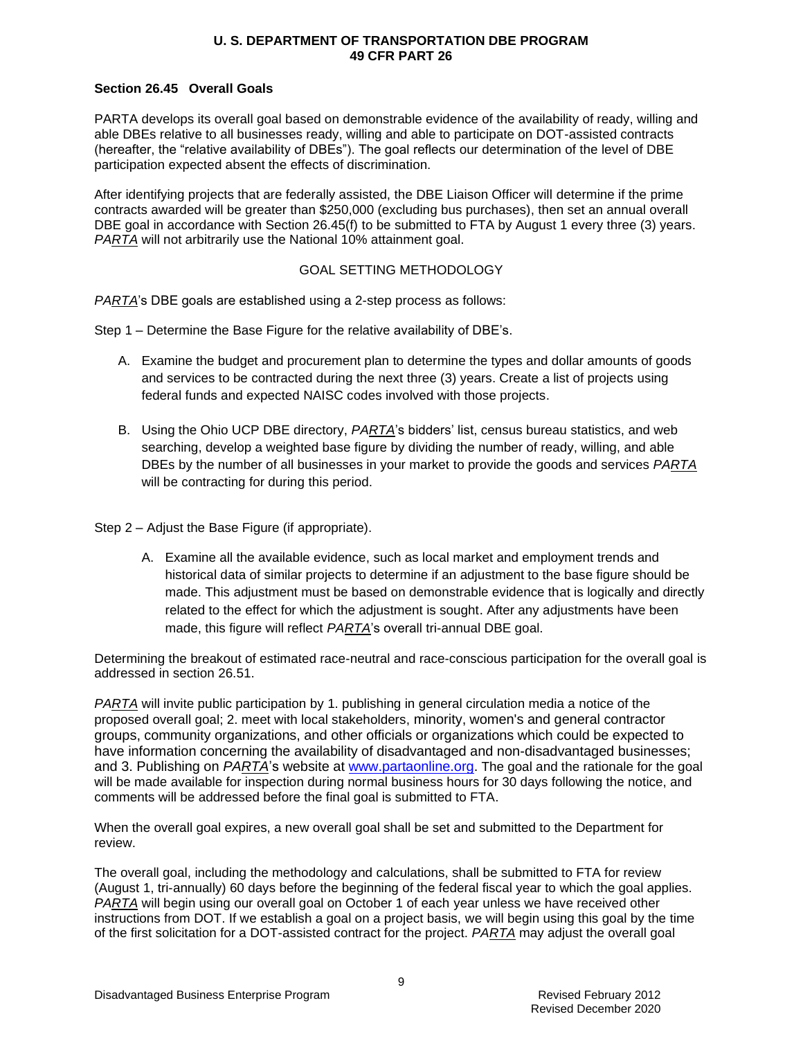## **Section 26.45 Overall Goals**

PARTA develops its overall goal based on demonstrable evidence of the availability of ready, willing and able DBEs relative to all businesses ready, willing and able to participate on DOT-assisted contracts (hereafter, the "relative availability of DBEs"). The goal reflects our determination of the level of DBE participation expected absent the effects of discrimination.

After identifying projects that are federally assisted, the DBE Liaison Officer will determine if the prime contracts awarded will be greater than \$250,000 (excluding bus purchases), then set an annual overall DBE goal in accordance with Section 26.45(f) to be submitted to FTA by August 1 every three (3) years. *PARTA* will not arbitrarily use the National 10% attainment goal.

## GOAL SETTING METHODOLOGY

*PARTA*'s DBE goals are established using a 2-step process as follows:

Step 1 – Determine the Base Figure for the relative availability of DBE's.

- A. Examine the budget and procurement plan to determine the types and dollar amounts of goods and services to be contracted during the next three (3) years. Create a list of projects using federal funds and expected NAISC codes involved with those projects.
- B. Using the Ohio UCP DBE directory, *PARTA*'s bidders' list, census bureau statistics, and web searching, develop a weighted base figure by dividing the number of ready, willing, and able DBEs by the number of all businesses in your market to provide the goods and services *PARTA* will be contracting for during this period.

Step 2 – Adjust the Base Figure (if appropriate).

A. Examine all the available evidence, such as local market and employment trends and historical data of similar projects to determine if an adjustment to the base figure should be made. This adjustment must be based on demonstrable evidence that is logically and directly related to the effect for which the adjustment is sought. After any adjustments have been made, this figure will reflect *PARTA*'s overall tri-annual DBE goal.

Determining the breakout of estimated race-neutral and race-conscious participation for the overall goal is addressed in section 26.51.

*PARTA* will invite public participation by 1. publishing in general circulation media a notice of the proposed overall goal; 2. meet with local stakeholders, minority, women's and general contractor groups, community organizations, and other officials or organizations which could be expected to have information concerning the availability of disadvantaged and non-disadvantaged businesses; and 3. Publishing on *PARTA*'s website at [www.partaonline.org.](http://www.partaonline.org/) The goal and the rationale for the goal will be made available for inspection during normal business hours for 30 days following the notice, and comments will be addressed before the final goal is submitted to FTA.

When the overall goal expires, a new overall goal shall be set and submitted to the Department for review.

The overall goal, including the methodology and calculations, shall be submitted to FTA for review (August 1, tri-annually) 60 days before the beginning of the federal fiscal year to which the goal applies. *PARTA* will begin using our overall goal on October 1 of each year unless we have received other instructions from DOT. If we establish a goal on a project basis, we will begin using this goal by the time of the first solicitation for a DOT-assisted contract for the project. *PARTA* may adjust the overall goal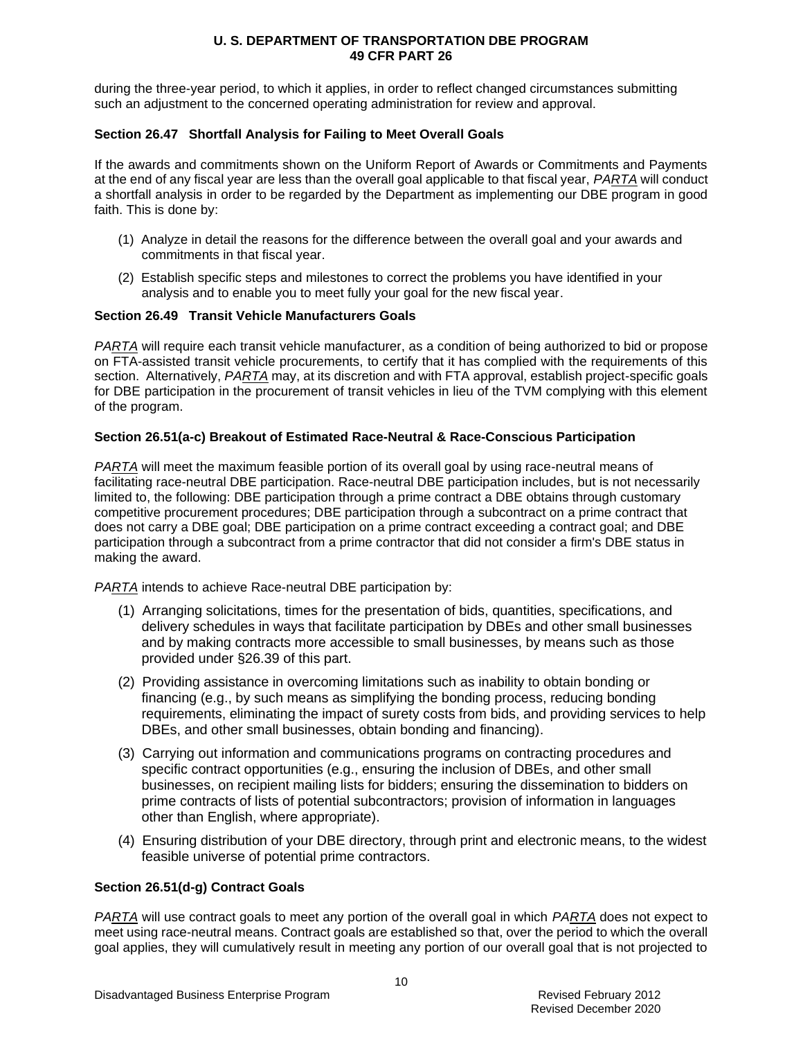during the three-year period, to which it applies, in order to reflect changed circumstances submitting such an adjustment to the concerned operating administration for review and approval.

## **Section 26.47 Shortfall Analysis for Failing to Meet Overall Goals**

If the awards and commitments shown on the Uniform Report of Awards or Commitments and Payments at the end of any fiscal year are less than the overall goal applicable to that fiscal year, *PARTA* will conduct a shortfall analysis in order to be regarded by the Department as implementing our DBE program in good faith. This is done by:

- (1) Analyze in detail the reasons for the difference between the overall goal and your awards and commitments in that fiscal year.
- (2) Establish specific steps and milestones to correct the problems you have identified in your analysis and to enable you to meet fully your goal for the new fiscal year.

### **Section 26.49 Transit Vehicle Manufacturers Goals**

*PARTA* will require each transit vehicle manufacturer, as a condition of being authorized to bid or propose on FTA-assisted transit vehicle procurements, to certify that it has complied with the requirements of this section. Alternatively, *PARTA* may, at its discretion and with FTA approval, establish project-specific goals for DBE participation in the procurement of transit vehicles in lieu of the TVM complying with this element of the program.

## **Section 26.51(a-c) Breakout of Estimated Race-Neutral & Race-Conscious Participation**

*PARTA* will meet the maximum feasible portion of its overall goal by using race-neutral means of facilitating race-neutral DBE participation. Race-neutral DBE participation includes, but is not necessarily limited to, the following: DBE participation through a prime contract a DBE obtains through customary competitive procurement procedures; DBE participation through a subcontract on a prime contract that does not carry a DBE goal; DBE participation on a prime contract exceeding a contract goal; and DBE participation through a subcontract from a prime contractor that did not consider a firm's DBE status in making the award.

*PARTA* intends to achieve Race-neutral DBE participation by:

- (1) Arranging solicitations, times for the presentation of bids, quantities, specifications, and delivery schedules in ways that facilitate participation by DBEs and other small businesses and by making contracts more accessible to small businesses, by means such as those provided under §26.39 of this part.
- (2) Providing assistance in overcoming limitations such as inability to obtain bonding or financing (e.g., by such means as simplifying the bonding process, reducing bonding requirements, eliminating the impact of surety costs from bids, and providing services to help DBEs, and other small businesses, obtain bonding and financing).
- (3) Carrying out information and communications programs on contracting procedures and specific contract opportunities (e.g., ensuring the inclusion of DBEs, and other small businesses, on recipient mailing lists for bidders; ensuring the dissemination to bidders on prime contracts of lists of potential subcontractors; provision of information in languages other than English, where appropriate).
- (4) Ensuring distribution of your DBE directory, through print and electronic means, to the widest feasible universe of potential prime contractors.

### **Section 26.51(d-g) Contract Goals**

*PARTA* will use contract goals to meet any portion of the overall goal in which *PARTA* does not expect to meet using race-neutral means. Contract goals are established so that, over the period to which the overall goal applies, they will cumulatively result in meeting any portion of our overall goal that is not projected to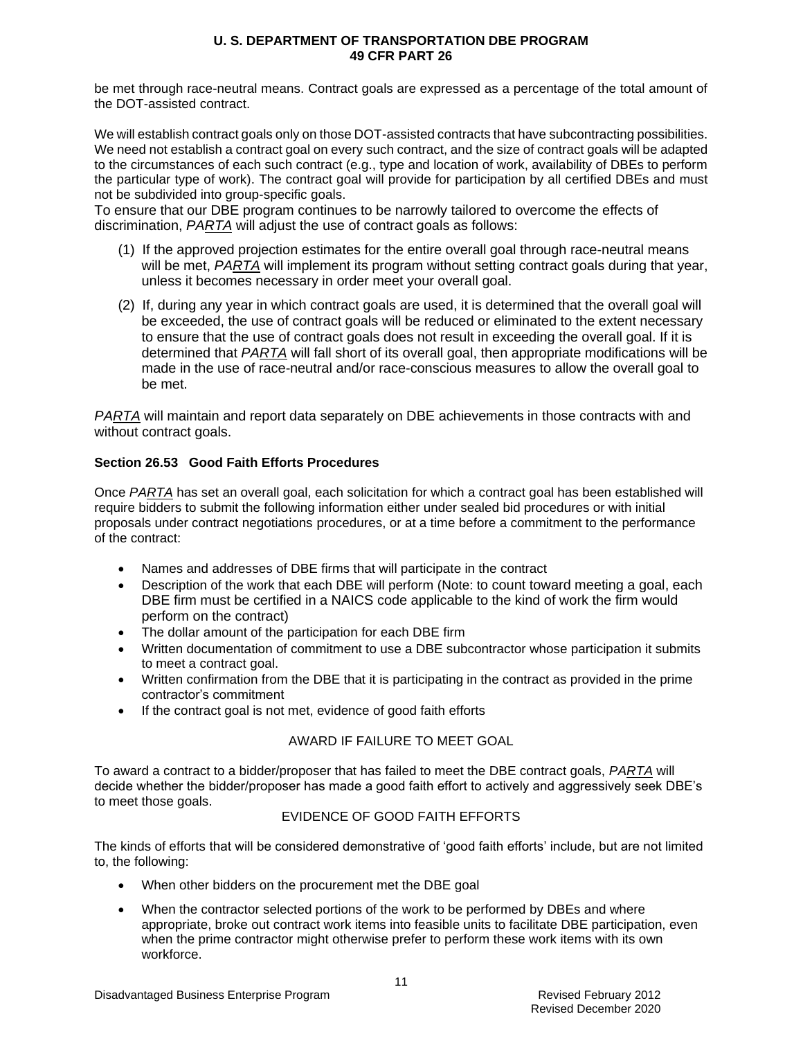be met through race-neutral means. Contract goals are expressed as a percentage of the total amount of the DOT-assisted contract.

We will establish contract goals only on those DOT-assisted contracts that have subcontracting possibilities. We need not establish a contract goal on every such contract, and the size of contract goals will be adapted to the circumstances of each such contract (e.g., type and location of work, availability of DBEs to perform the particular type of work). The contract goal will provide for participation by all certified DBEs and must not be subdivided into group-specific goals.

To ensure that our DBE program continues to be narrowly tailored to overcome the effects of discrimination, *PARTA* will adjust the use of contract goals as follows:

- (1) If the approved projection estimates for the entire overall goal through race-neutral means will be met, *PARTA* will implement its program without setting contract goals during that year, unless it becomes necessary in order meet your overall goal.
- (2) If, during any year in which contract goals are used, it is determined that the overall goal will be exceeded, the use of contract goals will be reduced or eliminated to the extent necessary to ensure that the use of contract goals does not result in exceeding the overall goal. If it is determined that *PARTA* will fall short of its overall goal, then appropriate modifications will be made in the use of race-neutral and/or race-conscious measures to allow the overall goal to be met.

*PARTA* will maintain and report data separately on DBE achievements in those contracts with and without contract goals.

## **Section 26.53 Good Faith Efforts Procedures**

Once *PARTA* has set an overall goal, each solicitation for which a contract goal has been established will require bidders to submit the following information either under sealed bid procedures or with initial proposals under contract negotiations procedures, or at a time before a commitment to the performance of the contract:

- Names and addresses of DBE firms that will participate in the contract
- Description of the work that each DBE will perform (Note: to count toward meeting a goal, each DBE firm must be certified in a NAICS code applicable to the kind of work the firm would perform on the contract)
- The dollar amount of the participation for each DBE firm
- Written documentation of commitment to use a DBE subcontractor whose participation it submits to meet a contract goal.
- Written confirmation from the DBE that it is participating in the contract as provided in the prime contractor's commitment
- If the contract goal is not met, evidence of good faith efforts

## AWARD IF FAILURE TO MEET GOAL

To award a contract to a bidder/proposer that has failed to meet the DBE contract goals, *PARTA* will decide whether the bidder/proposer has made a good faith effort to actively and aggressively seek DBE's to meet those goals.

## EVIDENCE OF GOOD FAITH EFFORTS

The kinds of efforts that will be considered demonstrative of 'good faith efforts' include, but are not limited to, the following:

- When other bidders on the procurement met the DBE goal
- When the contractor selected portions of the work to be performed by DBEs and where appropriate, broke out contract work items into feasible units to facilitate DBE participation, even when the prime contractor might otherwise prefer to perform these work items with its own workforce.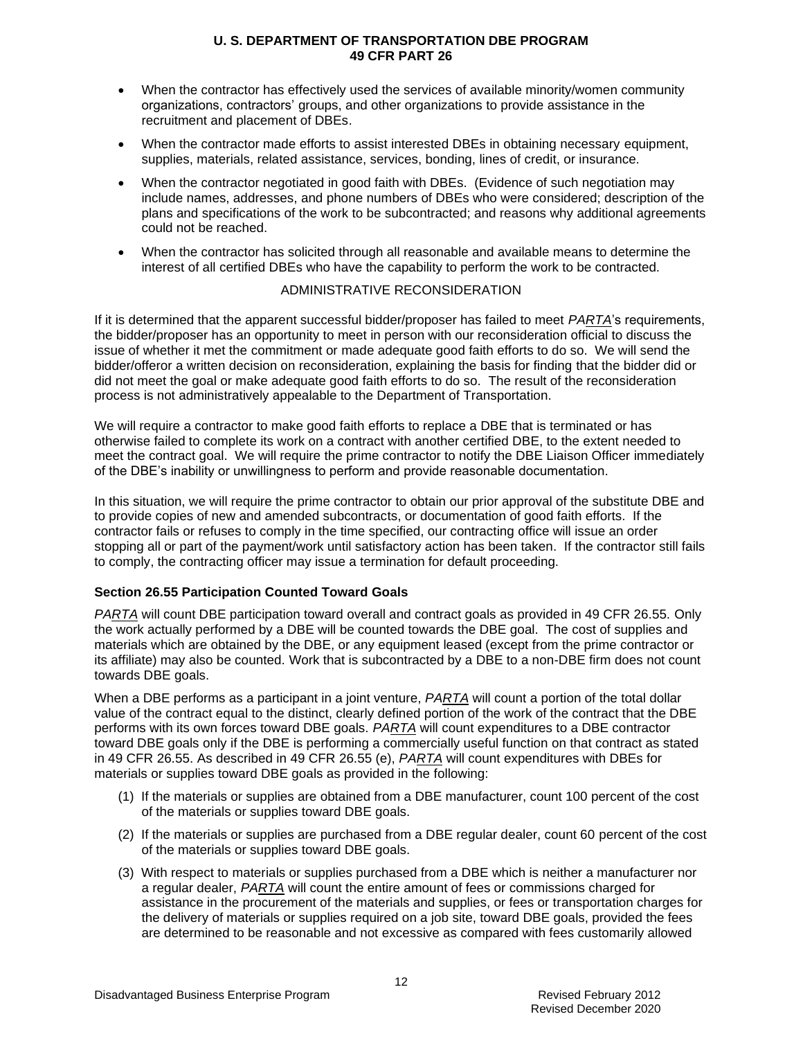- When the contractor has effectively used the services of available minority/women community organizations, contractors' groups, and other organizations to provide assistance in the recruitment and placement of DBEs.
- When the contractor made efforts to assist interested DBEs in obtaining necessary equipment, supplies, materials, related assistance, services, bonding, lines of credit, or insurance.
- When the contractor negotiated in good faith with DBEs. (Evidence of such negotiation may include names, addresses, and phone numbers of DBEs who were considered; description of the plans and specifications of the work to be subcontracted; and reasons why additional agreements could not be reached.
- When the contractor has solicited through all reasonable and available means to determine the interest of all certified DBEs who have the capability to perform the work to be contracted.

## ADMINISTRATIVE RECONSIDERATION

If it is determined that the apparent successful bidder/proposer has failed to meet *PARTA*'s requirements, the bidder/proposer has an opportunity to meet in person with our reconsideration official to discuss the issue of whether it met the commitment or made adequate good faith efforts to do so. We will send the bidder/offeror a written decision on reconsideration, explaining the basis for finding that the bidder did or did not meet the goal or make adequate good faith efforts to do so. The result of the reconsideration process is not administratively appealable to the Department of Transportation.

We will require a contractor to make good faith efforts to replace a DBE that is terminated or has otherwise failed to complete its work on a contract with another certified DBE, to the extent needed to meet the contract goal. We will require the prime contractor to notify the DBE Liaison Officer immediately of the DBE's inability or unwillingness to perform and provide reasonable documentation.

In this situation, we will require the prime contractor to obtain our prior approval of the substitute DBE and to provide copies of new and amended subcontracts, or documentation of good faith efforts. If the contractor fails or refuses to comply in the time specified, our contracting office will issue an order stopping all or part of the payment/work until satisfactory action has been taken. If the contractor still fails to comply, the contracting officer may issue a termination for default proceeding.

## **Section 26.55 Participation Counted Toward Goals**

*PARTA* will count DBE participation toward overall and contract goals as provided in 49 CFR 26.55. Only the work actually performed by a DBE will be counted towards the DBE goal. The cost of supplies and materials which are obtained by the DBE, or any equipment leased (except from the prime contractor or its affiliate) may also be counted. Work that is subcontracted by a DBE to a non-DBE firm does not count towards DBE goals.

When a DBE performs as a participant in a joint venture, *PARTA* will count a portion of the total dollar value of the contract equal to the distinct, clearly defined portion of the work of the contract that the DBE performs with its own forces toward DBE goals. *PARTA* will count expenditures to a DBE contractor toward DBE goals only if the DBE is performing a commercially useful function on that contract as stated in 49 CFR 26.55. As described in 49 CFR 26.55 (e), *PARTA* will count expenditures with DBEs for materials or supplies toward DBE goals as provided in the following:

- (1) If the materials or supplies are obtained from a DBE manufacturer, count 100 percent of the cost of the materials or supplies toward DBE goals.
- (2) If the materials or supplies are purchased from a DBE regular dealer, count 60 percent of the cost of the materials or supplies toward DBE goals.
- (3) With respect to materials or supplies purchased from a DBE which is neither a manufacturer nor a regular dealer, *PARTA* will count the entire amount of fees or commissions charged for assistance in the procurement of the materials and supplies, or fees or transportation charges for the delivery of materials or supplies required on a job site, toward DBE goals, provided the fees are determined to be reasonable and not excessive as compared with fees customarily allowed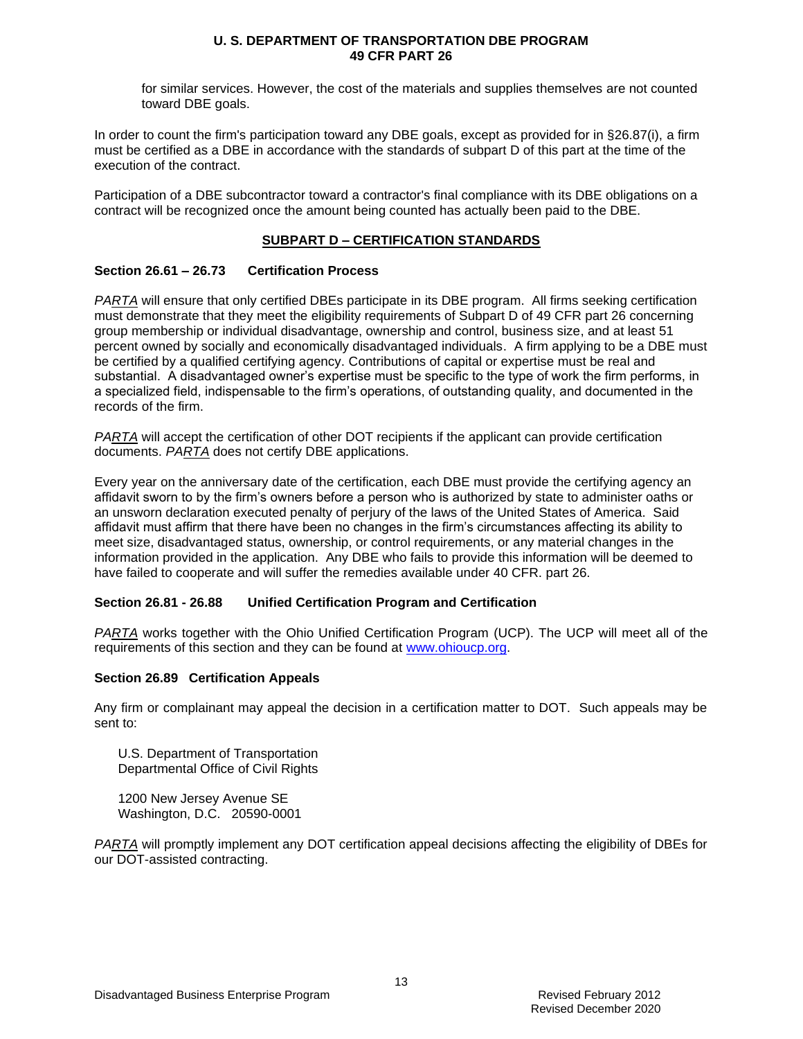for similar services. However, the cost of the materials and supplies themselves are not counted toward DBE goals.

In order to count the firm's participation toward any DBE goals, except as provided for in §26.87(i), a firm must be certified as a DBE in accordance with the standards of subpart D of this part at the time of the execution of the contract.

Participation of a DBE subcontractor toward a contractor's final compliance with its DBE obligations on a contract will be recognized once the amount being counted has actually been paid to the DBE.

## **SUBPART D – CERTIFICATION STANDARDS**

## **Section 26.61 – 26.73 Certification Process**

*PARTA* will ensure that only certified DBEs participate in its DBE program. All firms seeking certification must demonstrate that they meet the eligibility requirements of Subpart D of 49 CFR part 26 concerning group membership or individual disadvantage, ownership and control, business size, and at least 51 percent owned by socially and economically disadvantaged individuals. A firm applying to be a DBE must be certified by a qualified certifying agency. Contributions of capital or expertise must be real and substantial. A disadvantaged owner's expertise must be specific to the type of work the firm performs, in a specialized field, indispensable to the firm's operations, of outstanding quality, and documented in the records of the firm.

*PARTA* will accept the certification of other DOT recipients if the applicant can provide certification documents. *PARTA* does not certify DBE applications.

Every year on the anniversary date of the certification, each DBE must provide the certifying agency an affidavit sworn to by the firm's owners before a person who is authorized by state to administer oaths or an unsworn declaration executed penalty of perjury of the laws of the United States of America. Said affidavit must affirm that there have been no changes in the firm's circumstances affecting its ability to meet size, disadvantaged status, ownership, or control requirements, or any material changes in the information provided in the application. Any DBE who fails to provide this information will be deemed to have failed to cooperate and will suffer the remedies available under 40 CFR. part 26.

### **Section 26.81 - 26.88 Unified Certification Program and Certification**

*PARTA* works together with the Ohio Unified Certification Program (UCP). The UCP will meet all of the requirements of this section and they can be found at [www.ohioucp.org.](http://www.ohioucp.org/)

### **Section 26.89 Certification Appeals**

Any firm or complainant may appeal the decision in a certification matter to DOT. Such appeals may be sent to:

U.S. Department of Transportation Departmental Office of Civil Rights

1200 New Jersey Avenue SE Washington, D.C. 20590-0001

*PARTA* will promptly implement any DOT certification appeal decisions affecting the eligibility of DBEs for our DOT-assisted contracting.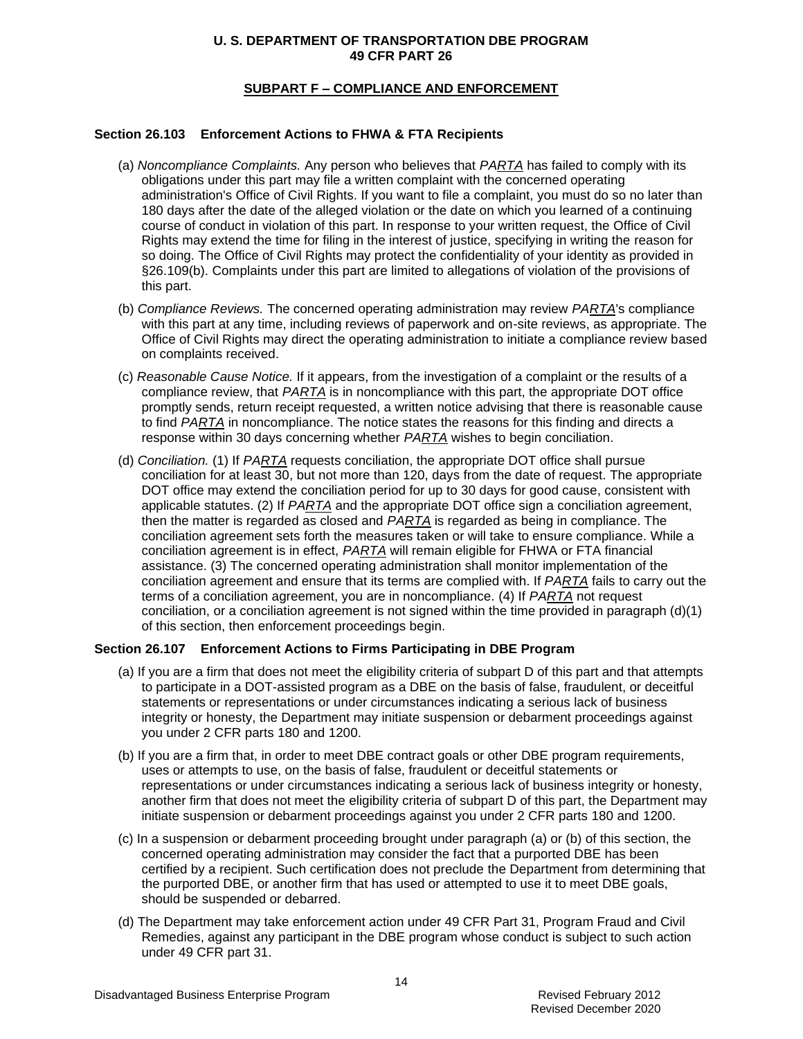## **SUBPART F – COMPLIANCE AND ENFORCEMENT**

## **Section 26.103 Enforcement Actions to FHWA & FTA Recipients**

- (a) *Noncompliance Complaints.* Any person who believes that *PARTA* has failed to comply with its obligations under this part may file a written complaint with the concerned operating administration's Office of Civil Rights. If you want to file a complaint, you must do so no later than 180 days after the date of the alleged violation or the date on which you learned of a continuing course of conduct in violation of this part. In response to your written request, the Office of Civil Rights may extend the time for filing in the interest of justice, specifying in writing the reason for so doing. The Office of Civil Rights may protect the confidentiality of your identity as provided in §26.109(b). Complaints under this part are limited to allegations of violation of the provisions of this part.
- (b) *Compliance Reviews.* The concerned operating administration may review *PARTA*'s compliance with this part at any time, including reviews of paperwork and on-site reviews, as appropriate. The Office of Civil Rights may direct the operating administration to initiate a compliance review based on complaints received.
- (c) *Reasonable Cause Notice.* If it appears, from the investigation of a complaint or the results of a compliance review, that *PARTA* is in noncompliance with this part, the appropriate DOT office promptly sends, return receipt requested, a written notice advising that there is reasonable cause to find *PARTA* in noncompliance. The notice states the reasons for this finding and directs a response within 30 days concerning whether *PARTA* wishes to begin conciliation.
- (d) *Conciliation.* (1) If *PARTA* requests conciliation, the appropriate DOT office shall pursue conciliation for at least 30, but not more than 120, days from the date of request. The appropriate DOT office may extend the conciliation period for up to 30 days for good cause, consistent with applicable statutes. (2) If *PARTA* and the appropriate DOT office sign a conciliation agreement, then the matter is regarded as closed and *PARTA* is regarded as being in compliance. The conciliation agreement sets forth the measures taken or will take to ensure compliance. While a conciliation agreement is in effect, *PARTA* will remain eligible for FHWA or FTA financial assistance. (3) The concerned operating administration shall monitor implementation of the conciliation agreement and ensure that its terms are complied with. If *PARTA* fails to carry out the terms of a conciliation agreement, you are in noncompliance. (4) If *PARTA* not request conciliation, or a conciliation agreement is not signed within the time provided in paragraph  $(d)(1)$ of this section, then enforcement proceedings begin.

### **Section 26.107 Enforcement Actions to Firms Participating in DBE Program**

- (a) If you are a firm that does not meet the eligibility criteria of subpart D of this part and that attempts to participate in a DOT-assisted program as a DBE on the basis of false, fraudulent, or deceitful statements or representations or under circumstances indicating a serious lack of business integrity or honesty, the Department may initiate suspension or debarment proceedings against you under 2 CFR parts 180 and 1200.
- (b) If you are a firm that, in order to meet DBE contract goals or other DBE program requirements, uses or attempts to use, on the basis of false, fraudulent or deceitful statements or representations or under circumstances indicating a serious lack of business integrity or honesty, another firm that does not meet the eligibility criteria of subpart D of this part, the Department may initiate suspension or debarment proceedings against you under 2 CFR parts 180 and 1200.
- (c) In a suspension or debarment proceeding brought under paragraph (a) or (b) of this section, the concerned operating administration may consider the fact that a purported DBE has been certified by a recipient. Such certification does not preclude the Department from determining that the purported DBE, or another firm that has used or attempted to use it to meet DBE goals, should be suspended or debarred.
- (d) The Department may take enforcement action under 49 CFR Part 31, Program Fraud and Civil Remedies, against any participant in the DBE program whose conduct is subject to such action under 49 CFR part 31.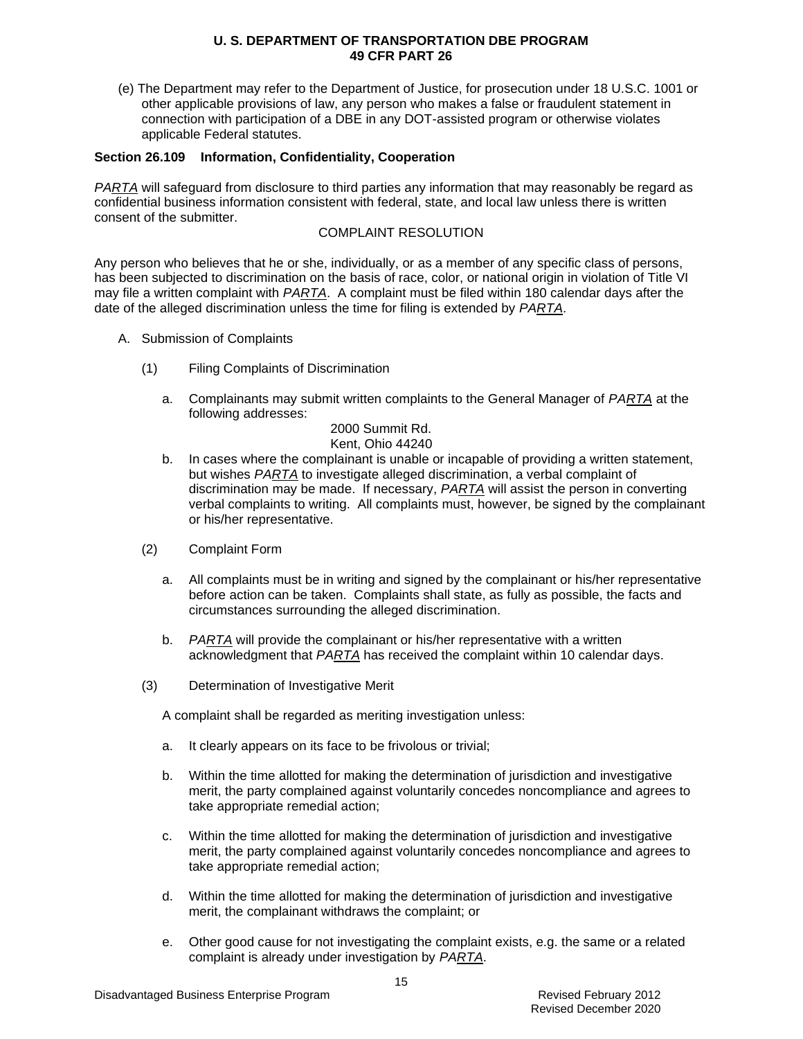(e) The Department may refer to the Department of Justice, for prosecution under 18 U.S.C. 1001 or other applicable provisions of law, any person who makes a false or fraudulent statement in connection with participation of a DBE in any DOT-assisted program or otherwise violates applicable Federal statutes.

### **Section 26.109 Information, Confidentiality, Cooperation**

*PARTA* will safeguard from disclosure to third parties any information that may reasonably be regard as confidential business information consistent with federal, state, and local law unless there is written consent of the submitter.

#### COMPLAINT RESOLUTION

Any person who believes that he or she, individually, or as a member of any specific class of persons, has been subjected to discrimination on the basis of race, color, or national origin in violation of Title VI may file a written complaint with *PARTA*. A complaint must be filed within 180 calendar days after the date of the alleged discrimination unless the time for filing is extended by *PARTA*.

- A. Submission of Complaints
	- (1) Filing Complaints of Discrimination
		- a. Complainants may submit written complaints to the General Manager of *PARTA* at the following addresses:

#### 2000 Summit Rd. Kent, Ohio 44240

- b. In cases where the complainant is unable or incapable of providing a written statement, but wishes *PARTA* to investigate alleged discrimination, a verbal complaint of discrimination may be made. If necessary, *PARTA* will assist the person in converting verbal complaints to writing. All complaints must, however, be signed by the complainant or his/her representative.
- (2) Complaint Form
	- a. All complaints must be in writing and signed by the complainant or his/her representative before action can be taken. Complaints shall state, as fully as possible, the facts and circumstances surrounding the alleged discrimination.
	- b. *PARTA* will provide the complainant or his/her representative with a written acknowledgment that *PARTA* has received the complaint within 10 calendar days.
- (3) Determination of Investigative Merit

A complaint shall be regarded as meriting investigation unless:

- a. It clearly appears on its face to be frivolous or trivial;
- b. Within the time allotted for making the determination of jurisdiction and investigative merit, the party complained against voluntarily concedes noncompliance and agrees to take appropriate remedial action;
- c. Within the time allotted for making the determination of jurisdiction and investigative merit, the party complained against voluntarily concedes noncompliance and agrees to take appropriate remedial action;
- d. Within the time allotted for making the determination of jurisdiction and investigative merit, the complainant withdraws the complaint; or
- e. Other good cause for not investigating the complaint exists, e.g. the same or a related complaint is already under investigation by *PARTA*.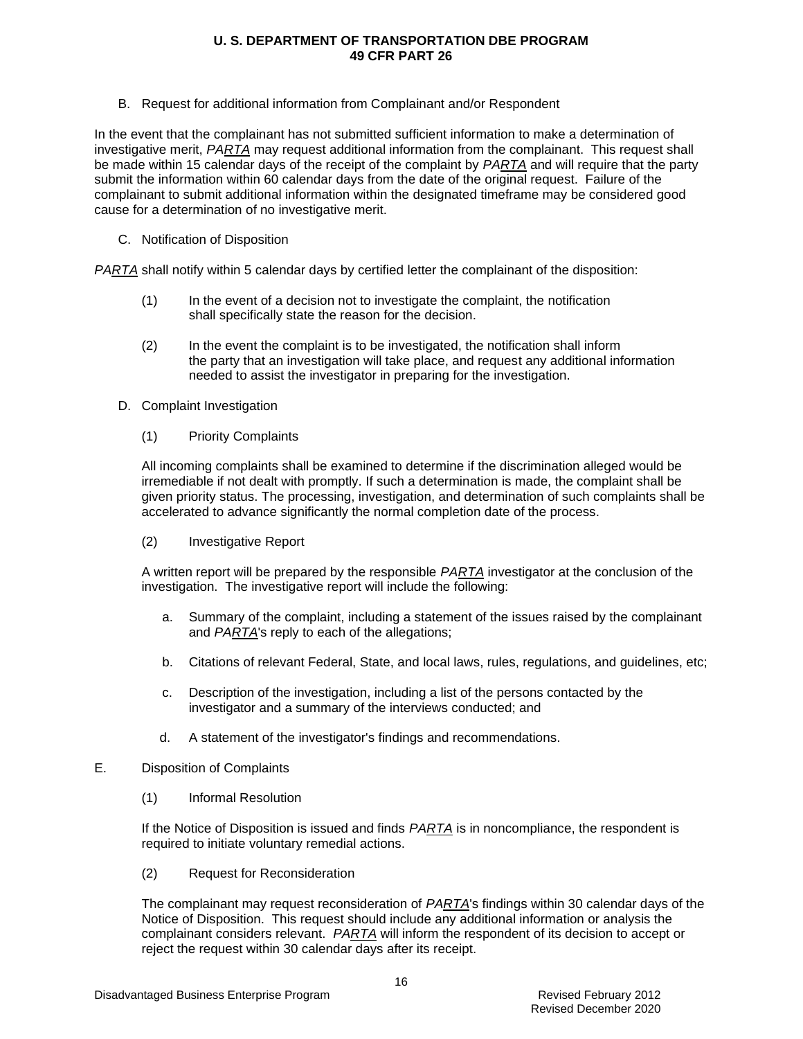B. Request for additional information from Complainant and/or Respondent

In the event that the complainant has not submitted sufficient information to make a determination of investigative merit, *PARTA* may request additional information from the complainant. This request shall be made within 15 calendar days of the receipt of the complaint by *PARTA* and will require that the party submit the information within 60 calendar days from the date of the original request. Failure of the complainant to submit additional information within the designated timeframe may be considered good cause for a determination of no investigative merit.

C. Notification of Disposition

*PARTA* shall notify within 5 calendar days by certified letter the complainant of the disposition:

- (1) In the event of a decision not to investigate the complaint, the notification shall specifically state the reason for the decision.
- (2) In the event the complaint is to be investigated, the notification shall inform the party that an investigation will take place, and request any additional information needed to assist the investigator in preparing for the investigation.
- D. Complaint Investigation
	- (1) Priority Complaints

All incoming complaints shall be examined to determine if the discrimination alleged would be irremediable if not dealt with promptly. If such a determination is made, the complaint shall be given priority status. The processing, investigation, and determination of such complaints shall be accelerated to advance significantly the normal completion date of the process.

(2) Investigative Report

A written report will be prepared by the responsible *PARTA* investigator at the conclusion of the investigation. The investigative report will include the following:

- a. Summary of the complaint, including a statement of the issues raised by the complainant and *PARTA*'s reply to each of the allegations;
- b. Citations of relevant Federal, State, and local laws, rules, regulations, and guidelines, etc;
- c. Description of the investigation, including a list of the persons contacted by the investigator and a summary of the interviews conducted; and
- d. A statement of the investigator's findings and recommendations.
- E. Disposition of Complaints
	- (1) Informal Resolution

If the Notice of Disposition is issued and finds *PARTA* is in noncompliance, the respondent is required to initiate voluntary remedial actions.

(2) Request for Reconsideration

The complainant may request reconsideration of *PARTA*'s findings within 30 calendar days of the Notice of Disposition. This request should include any additional information or analysis the complainant considers relevant. *PARTA* will inform the respondent of its decision to accept or reject the request within 30 calendar days after its receipt.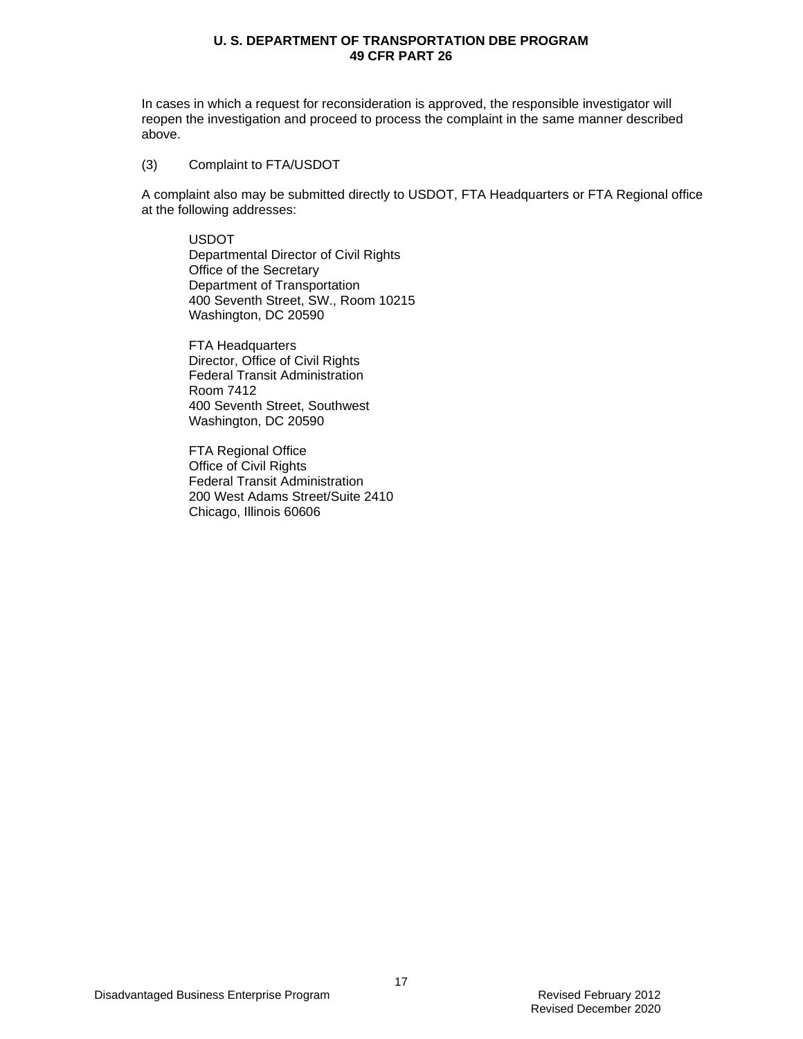In cases in which a request for reconsideration is approved, the responsible investigator will reopen the investigation and proceed to process the complaint in the same manner described above.

(3) Complaint to FTA/USDOT

A complaint also may be submitted directly to USDOT, FTA Headquarters or FTA Regional office at the following addresses:

USDOT Departmental Director of Civil Rights Office of the Secretary Department of Transportation 400 Seventh Street, SW., Room 10215 Washington, DC 20590

FTA Headquarters Director, Office of Civil Rights Federal Transit Administration Room 7412 400 Seventh Street, Southwest Washington, DC 20590

FTA Regional Office Office of Civil Rights Federal Transit Administration 200 West Adams Street/Suite 2410 Chicago, Illinois 60606